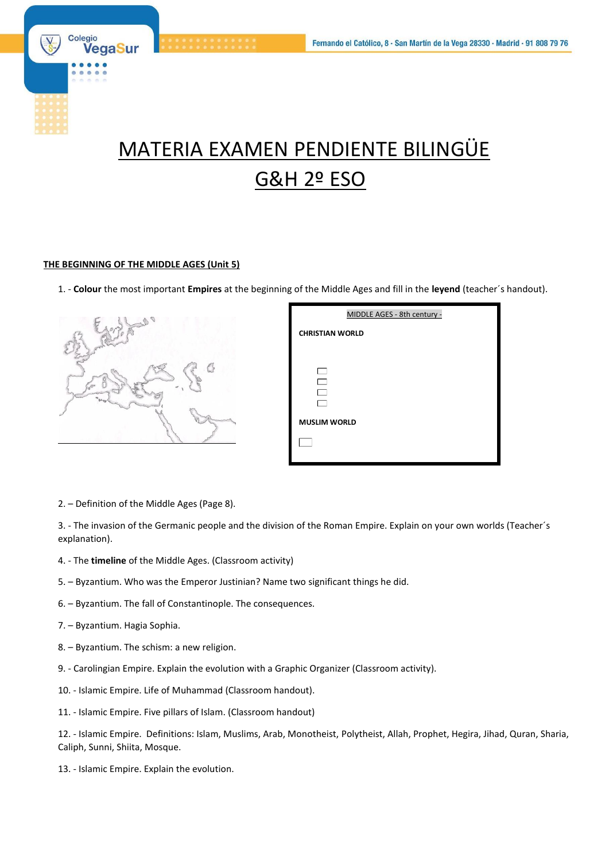

# MATERIA EXAMEN PENDIENTE BILINGÜE G&H 2º ESO

#### **THE BEGINNING OF THE MIDDLE AGES (Unit 5)**

1. - **Colour** the most important **Empires** at the beginning of the Middle Ages and fill in the **leyend** (teacher´s handout).



| MIDDLE AGES - 8th century - |
|-----------------------------|
| <b>CHRISTIAN WORLD</b>      |
|                             |
|                             |
|                             |
|                             |
| <b>MUSLIM WORLD</b>         |
|                             |
|                             |

2. – Definition of the Middle Ages (Page 8).

3. - The invasion of the Germanic people and the division of the Roman Empire. Explain on your own worlds (Teacher´s explanation).

- 4. The **timeline** of the Middle Ages. (Classroom activity)
- 5. Byzantium. Who was the Emperor Justinian? Name two significant things he did.
- 6. Byzantium. The fall of Constantinople. The consequences.
- 7. Byzantium. Hagia Sophia.
- 8. Byzantium. The schism: a new religion.
- 9. Carolingian Empire. Explain the evolution with a Graphic Organizer (Classroom activity).
- 10. Islamic Empire. Life of Muhammad (Classroom handout).
- 11. Islamic Empire. Five pillars of Islam. (Classroom handout)

12. - Islamic Empire. Definitions: Islam, Muslims, Arab, Monotheist, Polytheist, Allah, Prophet, Hegira, Jihad, Quran, Sharia, Caliph, Sunni, Shiita, Mosque.

13. - Islamic Empire. Explain the evolution.